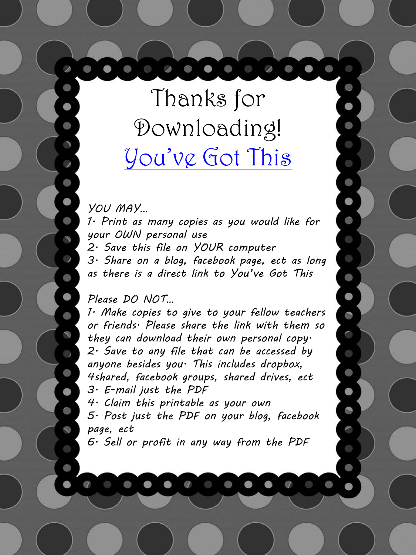Thanks for Downloading! [You've Got This](https://youvegotthismath.com/)

D

*YOU MAY…*

 $\bullet$ 

 $\rightarrow$ 

 $\mathcal{S}$ 

 $\overline{\phantom{a}}$ 

S)

 $\mathcal{D}$ 

*1. Print as many copies as you would like for your OWN personal use 2. Save this file on YOUR computer 3. Share on a blog, facebook page, ect as long as there is a direct link to You've Got This*

C)

G

## *Please DO NOT…*

 $\begin{array}{ccccccccccccccccc} \circ & \bullet & \bullet & \bullet & \bullet & \end{array}$ 

*1. Make copies to give to your fellow teachers or friends. Please share the link with them so they can download their own personal copy. 2. Save to any file that can be accessed by anyone besides you. This includes dropbox, 4shared, facebook groups, shared drives, ect 3. E-mail just the PDF* 

*4. Claim this printable as your own*

*5. Post just the PDF on your blog, facebook page, ect*

*6. Sell or profit in any way from the PDF*

 $\mathscr{D}$ 

 $\circlearrowright$ 

 $\bullet$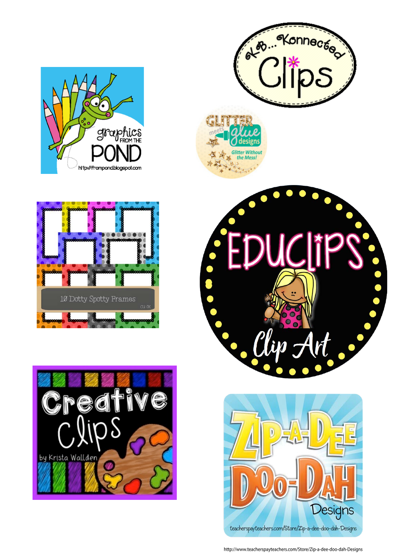













http://www.teacherspayteachers.com/Store/Zip-a-dee-doo-dah-Designs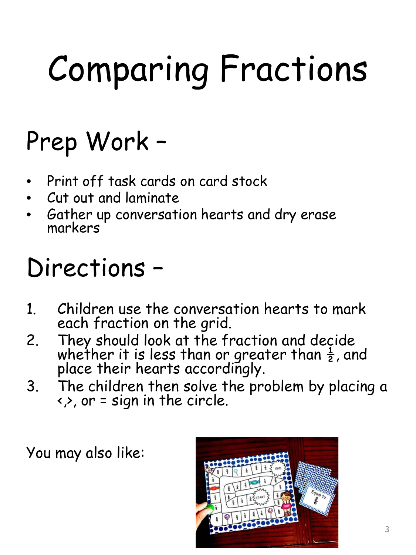## Comparing Fractions

## Prep Work –

- Print off task cards on card stock
- Cut out and laminate
- Gather up conversation hearts and dry erase markers

## Directions –

- 1. Children use the conversation hearts to mark each fraction on the grid.
- 2. They should look at the fraction and decide whether it is less than or greater than  $\frac{1}{2}$ , and place their hearts accordingly.
- 3. The children then solve the problem by placing a  $\langle \rangle$ , or = sign in the circle.

You may also like:

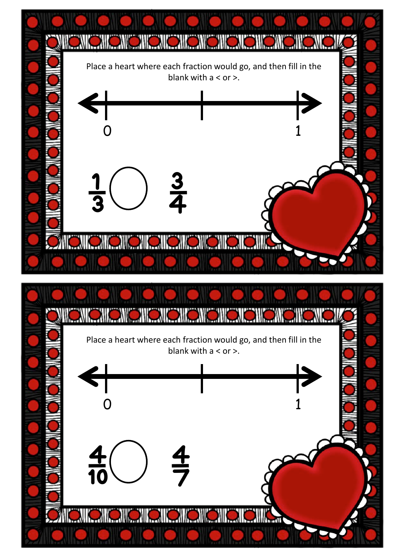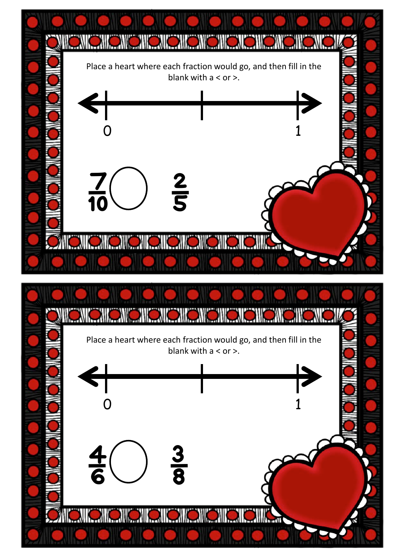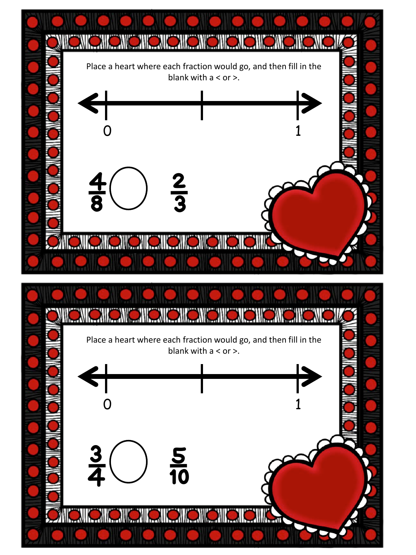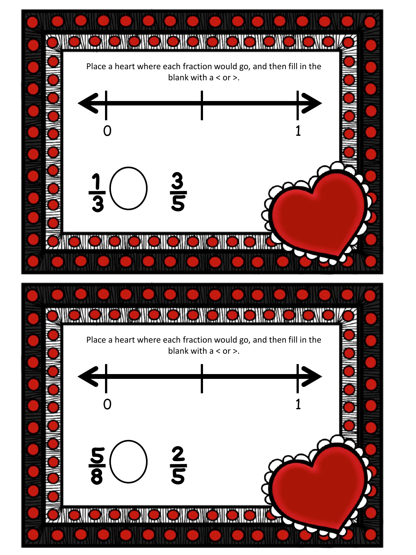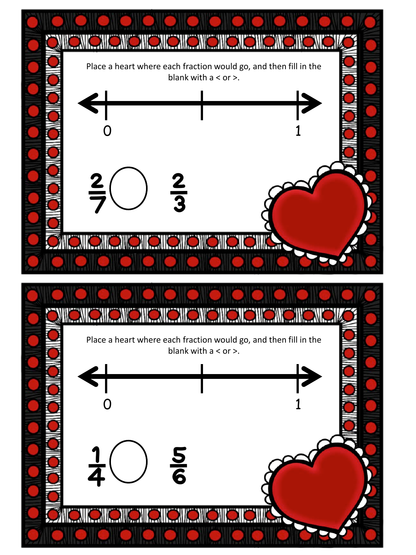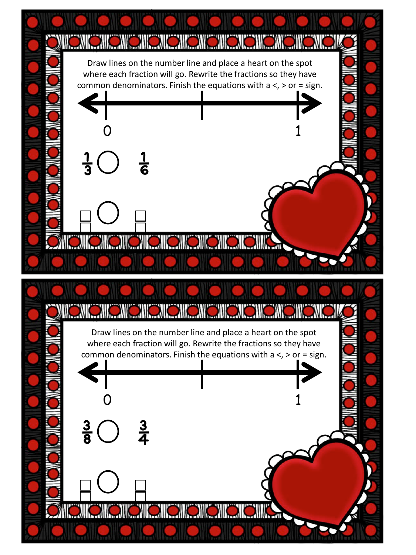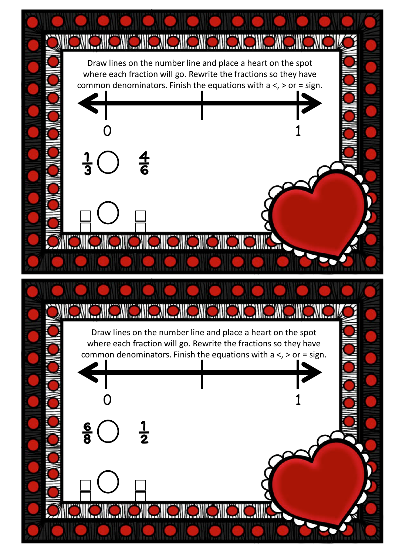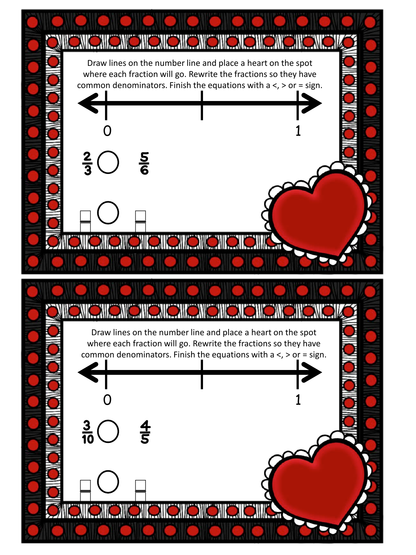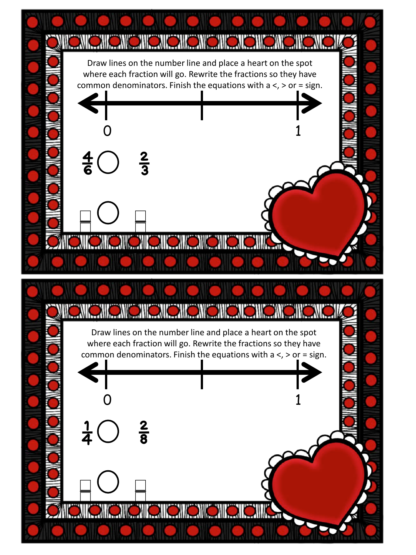